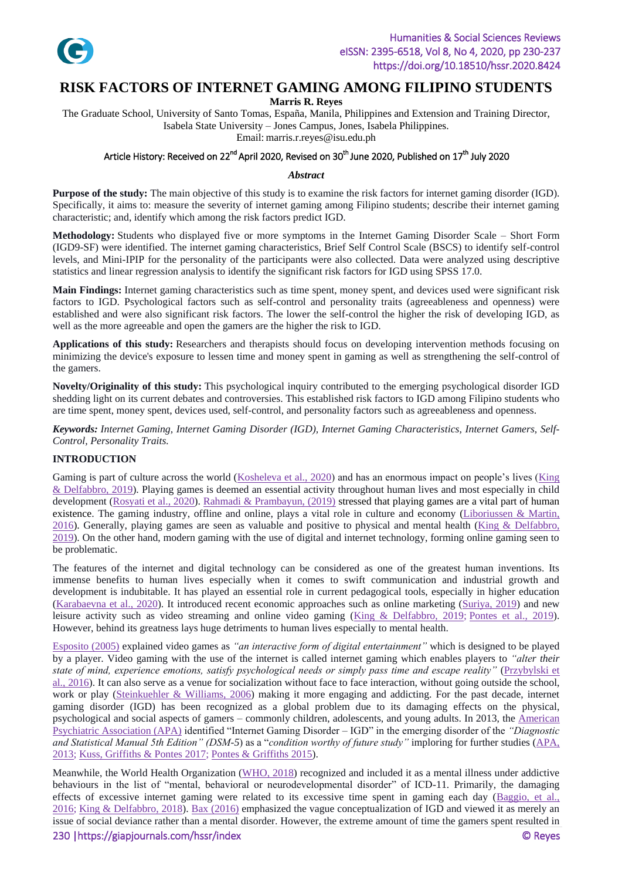

# **RISK FACTORS OF INTERNET GAMING AMONG FILIPINO STUDENTS**

**Marris R. Reyes**

The Graduate School, University of Santo Tomas, España, Manila, Philippines and Extension and Training Director, Isabela State University – Jones Campus, Jones, Isabela Philippines.

Email: marris.r.reyes@isu.edu.ph

### Article History: Received on 22<sup>nd</sup> April 2020, Revised on 30<sup>th</sup> June 2020, Published on 17<sup>th</sup> July 2020

#### *Abstract*

**Purpose of the study:** The main objective of this study is to examine the risk factors for internet gaming disorder (IGD). Specifically, it aims to: measure the severity of internet gaming among Filipino students; describe their internet gaming characteristic; and, identify which among the risk factors predict IGD.

**Methodology:** Students who displayed five or more symptoms in the Internet Gaming Disorder Scale – Short Form (IGD9-SF) were identified. The internet gaming characteristics, Brief Self Control Scale (BSCS) to identify self-control levels, and Mini-IPIP for the personality of the participants were also collected. Data were analyzed using descriptive statistics and linear regression analysis to identify the significant risk factors for IGD using SPSS 17.0.

**Main Findings:** Internet gaming characteristics such as time spent, money spent, and devices used were significant risk factors to IGD. Psychological factors such as self-control and personality traits (agreeableness and openness) were established and were also significant risk factors. The lower the self-control the higher the risk of developing IGD, as well as the more agreeable and open the gamers are the higher the risk to IGD.

**Applications of this study:** Researchers and therapists should focus on developing intervention methods focusing on minimizing the device's exposure to lessen time and money spent in gaming as well as strengthening the self-control of the gamers.

**Novelty/Originality of this study:** This psychological inquiry contributed to the emerging psychological disorder IGD shedding light on its current debates and controversies. This established risk factors to IGD among Filipino students who are time spent, money spent, devices used, self-control, and personality factors such as agreeableness and openness.

*Keywords: Internet Gaming, Internet Gaming Disorder (IGD), Internet Gaming Characteristics, Internet Gamers, Self-Control, Personality Traits.*

### **INTRODUCTION**

Gaming is part of culture across the world [\(Kosheleva et al., 2020\)](#page-6-0) and has an enormous impact on people's lives [\(King](#page-6-1)  [& Delfabbro, 2019\)](#page-6-1). Playing games is deemed an essential activity throughout human lives and most especially in child development [\(Rosyati et al., 2020\)](#page-7-0)[. Rahmadi & Prambayun, \(2019\)](#page-7-1) stressed that playing games are a vital part of human existence. The gaming industry, offline and online, plays a vital role in culture and economy (Liboriussen & Martin, 2016). Generally, playing games are seen as valuable and positive to physical and mental health [\(King & Delfabbro,](#page-6-1)  [2019\)](#page-6-1). On the other hand, modern gaming with the use of digital and internet technology, forming online gaming seen to be problematic.

The features of the internet and digital technology can be considered as one of the greatest human inventions. Its immense benefits to human lives especially when it comes to swift communication and industrial growth and development is indubitable. It has played an essential role in current pedagogical tools, especially in higher education [\(Karabaevna et al., 2020\)](#page-6-2). It introduced recent economic approaches such as online marketing [\(Suriya, 2019\)](#page-7-2) and new leisure activity such as video streaming and online video gaming [\(King & Delfabbro, 2019;](#page-6-1) [Pontes et al., 2019\)](#page-6-3). However, behind its greatness lays huge detriments to human lives especially to mental health.

[Esposito \(2005\)](#page-5-0) explained video games as *"an interactive form of digital entertainment"* which is designed to be played by a player. Video gaming with the use of the internet is called internet gaming which enables players to *"alter their state of mind, experience emotions, satisfy psychological needs or simply pass time and escape reality"* [\(Przybylski et](#page-7-3)  [al., 2016\)](#page-7-3). It can also serve as a venue for socialization without face to face interaction, without going outside the school, work or play [\(Steinkuehler & Williams, 2006\)](#page-7-4) making it more engaging and addicting. For the past decade, internet gaming disorder (IGD) has been recognized as a global problem due to its damaging effects on the physical, psychological and social aspects of gamers – commonly children, adolescents, and young adults. In 2013, the [American](#page-5-1)  [Psychiatric Association \(APA\)](#page-5-1) identified "Internet Gaming Disorder – IGD" in the emerging disorder of the *"Diagnostic and Statistical Manual 5th Edition" (DSM-5*) as a "*condition worthy of future study"* imploring for further studies [\(APA,](#page-5-1)  [2013;](#page-5-1) [Kuss, Griffiths & Pontes 2017;](#page-6-4) [Pontes & Griffiths 2015\)](#page-7-5).

Meanwhile, the World Health Organization [\(WHO, 2018\)](#page-7-6) recognized and included it as a mental illness under addictive behaviours in the list of "mental, behavioral or neurodevelopmental disorder" of ICD-11. Primarily, the damaging effects of excessive internet gaming were related to its excessive time spent in gaming each day [\(Baggio, et al.,](#page-5-2)  [2016;](#page-5-2) [King & Delfabbro, 2018\)](#page-6-5). [Bax \(2016\)](#page-5-3) emphasized the vague conceptualization of IGD and viewed it as merely an issue of social deviance rather than a mental disorder. However, the extreme amount of time the gamers spent resulted in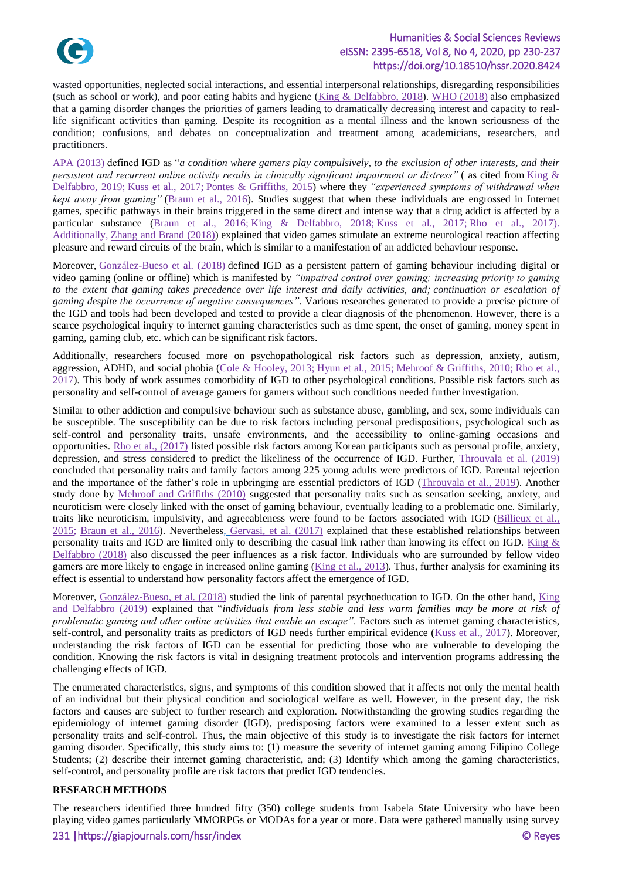

wasted opportunities, neglected social interactions, and essential interpersonal relationships, disregarding responsibilities (such as school or work), and poor eating habits and hygiene [\(King & Delfabbro, 2018\)](#page-6-5). [WHO \(2018\)](#page-7-6) also emphasized that a gaming disorder changes the priorities of gamers leading to dramatically decreasing interest and capacity to reallife significant activities than gaming. Despite its recognition as a mental illness and the known seriousness of the condition; confusions, and debates on conceptualization and treatment among academicians, researchers, and practitioners.

[APA \(2013\)](#page-5-1) defined IGD as "*a condition where gamers play compulsively, to the exclusion of other interests, and their persistent and recurrent online activity results in clinically significant impairment or distress"* ( as cited from [King &](#page-6-1)  [Delfabbro, 2019;](#page-6-1) [Kuss et al., 2017;](#page-6-4) [Pontes & Griffiths, 2015\)](#page-7-5) where they *"experienced symptoms of withdrawal when kept away from gaming"* [\(Braun et al., 2016\)](#page-5-4). Studies suggest that when these individuals are engrossed in Internet games, specific pathways in their brains triggered in the same direct and intense way that a drug addict is affected by a particular substance [\(Braun et al., 2016;](#page-5-4) [King & Delfabbro, 2018;](#page-6-5) [Kuss et al., 2017;](#page-6-4) [Rho et al., 2017\)](#page-7-7). Additionally, [Zhang and Brand \(2018\)\)](#page-7-8) explained that video games stimulate an extreme neurological reaction affecting pleasure and reward circuits of the brain, which is similar to a manifestation of an addicted behaviour response.

Moreover, [González-Bueso et al. \(2018\)](#page-6-6) defined IGD as a persistent pattern of gaming behaviour including digital or video gaming (online or offline) which is manifested by *"impaired control over gaming; increasing priority to gaming to the extent that gaming takes precedence over life interest and daily activities, and; continuation or escalation of gaming despite the occurrence of negative consequences"*. Various researches generated to provide a precise picture of the IGD and tools had been developed and tested to provide a clear diagnosis of the phenomenon. However, there is a scarce psychological inquiry to internet gaming characteristics such as time spent, the onset of gaming, money spent in gaming, gaming club, etc. which can be significant risk factors.

Additionally, researchers focused more on psychopathological risk factors such as depression, anxiety, autism, aggression, ADHD, and social phobia [\(Cole & Hooley, 2013;](#page-5-5) [Hyun et al., 2015;](#page-6-7) [Mehroof & Griffiths, 2010;](#page-6-8) [Rho et al.,](#page-7-7)  [2017\)](#page-7-7). This body of work assumes comorbidity of IGD to other psychological conditions. Possible risk factors such as personality and self-control of average gamers for gamers without such conditions needed further investigation.

Similar to other addiction and compulsive behaviour such as substance abuse, gambling, and sex, some individuals can be susceptible. The susceptibility can be due to risk factors including personal predispositions, psychological such as self-control and personality traits, unsafe environments, and the accessibility to online-gaming occasions and opportunities. [Rho et al., \(2017\)](#page-7-7) listed possible risk factors among Korean participants such as personal profile, anxiety, depression, and stress considered to predict the likeliness of the occurrence of IGD. Further, [Throuvala et al. \(2019\)](#page-7-9) concluded that personality traits and family factors among 225 young adults were predictors of IGD. Parental rejection and the importance of the father's role in upbringing are essential predictors of IGD [\(Throuvala et al., 2019\)](#page-7-9). Another study done by [Mehroof and Griffiths \(2010\)](#page-6-8) suggested that personality traits such as sensation seeking, anxiety, and neuroticism were closely linked with the onset of gaming behaviour, eventually leading to a problematic one. Similarly, traits like neuroticism, impulsivity, and agreeableness were found to be factors associated with IGD [\(Billieux et al.,](#page-5-6)  [2015;](#page-5-6) [Braun et al., 2016\)](#page-5-4). Nevertheless, [Gervasi, et al. \(2017\)](#page-6-9) explained that these established relationships between personality traits and IGD are limited only to describing the casual link rather than knowing its effect on IGD. King  $\&$ [Delfabbro \(2018\)](#page-6-5) also discussed the peer influences as a risk factor. Individuals who are surrounded by fellow video gamers are more likely to engage in increased online gaming [\(King et al., 2013\)](#page-6-10). Thus, further analysis for examining its effect is essential to understand how personality factors affect the emergence of IGD.

Moreover, González-Bueso, et al. (2018) studied the link of parental psychoeducation to IGD. On the other hand, King and Delfabbro (2019) explained that "*individuals from less stable and less warm families may be more at risk of problematic gaming and other online activities that enable an escape"*. Factors such as internet gaming characteristics, self-control, and personality traits as predictors of IGD needs further empirical evidence (Kuss et al., 2017). Moreover, understanding the risk factors of IGD can be essential for predicting those who are vulnerable to developing the condition. Knowing the risk factors is vital in designing treatment protocols and intervention programs addressing the challenging effects of IGD.

The enumerated characteristics, signs, and symptoms of this condition showed that it affects not only the mental health of an individual but their physical condition and sociological welfare as well. However, in the present day, the risk factors and causes are subject to further research and exploration. Notwithstanding the growing studies regarding the epidemiology of internet gaming disorder (IGD), predisposing factors were examined to a lesser extent such as personality traits and self-control. Thus, the main objective of this study is to investigate the risk factors for internet gaming disorder. Specifically, this study aims to: (1) measure the severity of internet gaming among Filipino College Students; (2) describe their internet gaming characteristic, and; (3) Identify which among the gaming characteristics, self-control, and personality profile are risk factors that predict IGD tendencies.

### **RESEARCH METHODS**

The researchers identified three hundred fifty (350) college students from Isabela State University who have been playing video games particularly MMORPGs or MODAs for a year or more. Data were gathered manually using survey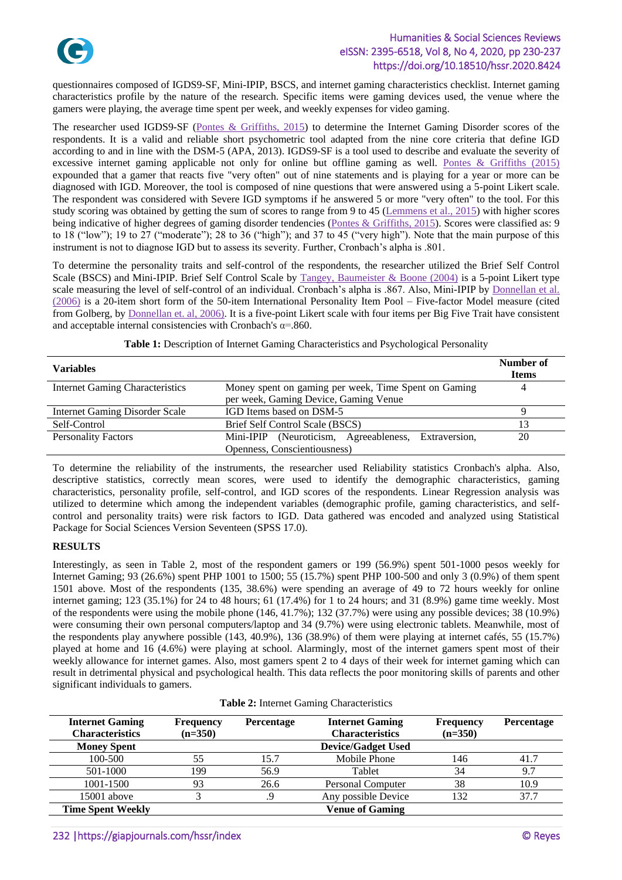

questionnaires composed of IGDS9-SF, Mini-IPIP, BSCS, and internet gaming characteristics checklist. Internet gaming characteristics profile by the nature of the research. Specific items were gaming devices used, the venue where the gamers were playing, the average time spent per week, and weekly expenses for video gaming.

The researcher used IGDS9-SF [\(Pontes & Griffiths, 2015\)](#page-7-5) to determine the Internet Gaming Disorder scores of the respondents. It is a valid and reliable short psychometric tool adapted from the nine core criteria that define IGD according to and in line with the DSM-5 (APA, 2013). IGDS9-SF is a tool used to describe and evaluate the severity of excessive internet gaming applicable not only for online but offline gaming as well. [Pontes & Griffiths \(2015\)](#page-7-5) expounded that a gamer that reacts five "very often" out of nine statements and is playing for a year or more can be diagnosed with IGD. Moreover, the tool is composed of nine questions that were answered using a 5-point Likert scale. The respondent was considered with Severe IGD symptoms if he answered 5 or more "very often" to the tool. For this study scoring was obtained by getting the sum of scores to range from 9 to 45 [\(Lemmens et al., 2015\)](#page-6-11) with higher scores being indicative of higher degrees of gaming disorder tendencies [\(Pontes & Griffiths, 2015\)](#page-7-5). Scores were classified as: 9 to  $18$  ("low");  $19$  to  $27$  ("moderate");  $28$  to  $36$  ("high"); and  $37$  to  $45$  ("very high"). Note that the main purpose of this instrument is not to diagnose IGD but to assess its severity. Further, Cronbach's alpha is .801.

To determine the personality traits and self-control of the respondents, the researcher utilized the Brief Self Control Scale (BSCS) and Mini-IPIP. Brief Self Control Scale by [Tangey, Baumeister & Boone \(2004\)](#page-7-10) is a 5-point Likert type scale measuring the level of self-control of an individual. Cronbach's alpha is .867. Also, Mini-IPIP by [Donnellan et al.](#page-5-7)  [\(2006\)](#page-5-7) is a 20-item short form of the 50-item International Personality Item Pool – Five-factor Model measure (cited from Golberg, by [Donnellan et. al, 2006\).](#page-5-7) It is a five-point Likert scale with four items per Big Five Trait have consistent and acceptable internal consistencies with Cronbach's  $\alpha = .860$ .

**Table 1:** Description of Internet Gaming Characteristics and Psychological Personality

| <b>Variables</b>                       |                                                         | Number of    |
|----------------------------------------|---------------------------------------------------------|--------------|
|                                        |                                                         | <b>Items</b> |
| <b>Internet Gaming Characteristics</b> | Money spent on gaming per week, Time Spent on Gaming    |              |
|                                        | per week, Gaming Device, Gaming Venue                   |              |
| <b>Internet Gaming Disorder Scale</b>  | IGD Items based on DSM-5                                |              |
| Self-Control                           | Brief Self Control Scale (BSCS)                         |              |
| <b>Personality Factors</b>             | Mini-IPIP (Neuroticism, Agreeableness,<br>Extraversion. | 20           |
|                                        | Openness, Conscientiousness)                            |              |

To determine the reliability of the instruments, the researcher used Reliability statistics Cronbach's alpha. Also, descriptive statistics, correctly mean scores, were used to identify the demographic characteristics, gaming characteristics, personality profile, self-control, and IGD scores of the respondents. Linear Regression analysis was utilized to determine which among the independent variables (demographic profile, gaming characteristics, and selfcontrol and personality traits) were risk factors to IGD. Data gathered was encoded and analyzed using Statistical Package for Social Sciences Version Seventeen (SPSS 17.0).

### **RESULTS**

Interestingly, as seen in Table 2, most of the respondent gamers or 199 (56.9%) spent 501-1000 pesos weekly for Internet Gaming; 93 (26.6%) spent PHP 1001 to 1500; 55 (15.7%) spent PHP 100-500 and only 3 (0.9%) of them spent 1501 above. Most of the respondents (135, 38.6%) were spending an average of 49 to 72 hours weekly for online internet gaming; 123 (35.1%) for 24 to 48 hours; 61 (17.4%) for 1 to 24 hours; and 31 (8.9%) game time weekly. Most of the respondents were using the mobile phone (146, 41.7%); 132 (37.7%) were using any possible devices; 38 (10.9%) were consuming their own personal computers/laptop and 34 (9.7%) were using electronic tablets. Meanwhile, most of the respondents play anywhere possible (143, 40.9%), 136 (38.9%) of them were playing at internet cafés, 55 (15.7%) played at home and 16 (4.6%) were playing at school. Alarmingly, most of the internet gamers spent most of their weekly allowance for internet games. Also, most gamers spent 2 to 4 days of their week for internet gaming which can result in detrimental physical and psychological health. This data reflects the poor monitoring skills of parents and other significant individuals to gamers.

| <b>Internet Gaming</b><br><b>Characteristics</b> | <b>Frequency</b><br>$(n=350)$ | Percentage | <b>Internet Gaming</b><br><b>Characteristics</b> | <b>Frequency</b><br>$(n=350)$ | Percentage |
|--------------------------------------------------|-------------------------------|------------|--------------------------------------------------|-------------------------------|------------|
| <b>Money Spent</b>                               |                               |            | <b>Device/Gadget Used</b>                        |                               |            |
| 100-500                                          | 55                            | 15.7       | Mobile Phone                                     | 146                           | 41.7       |
| 501-1000                                         | 199                           | 56.9       | Tablet                                           | 34                            | 9.7        |
| 1001-1500                                        | 93                            | 26.6       | <b>Personal Computer</b>                         | 38                            | 10.9       |
| 15001 above                                      |                               | 9          | Any possible Device                              | 132                           | 37.7       |
| <b>Time Spent Weekly</b>                         |                               |            | <b>Venue of Gaming</b>                           |                               |            |

| Table 2: Internet Gaming Characteristics |  |
|------------------------------------------|--|
|------------------------------------------|--|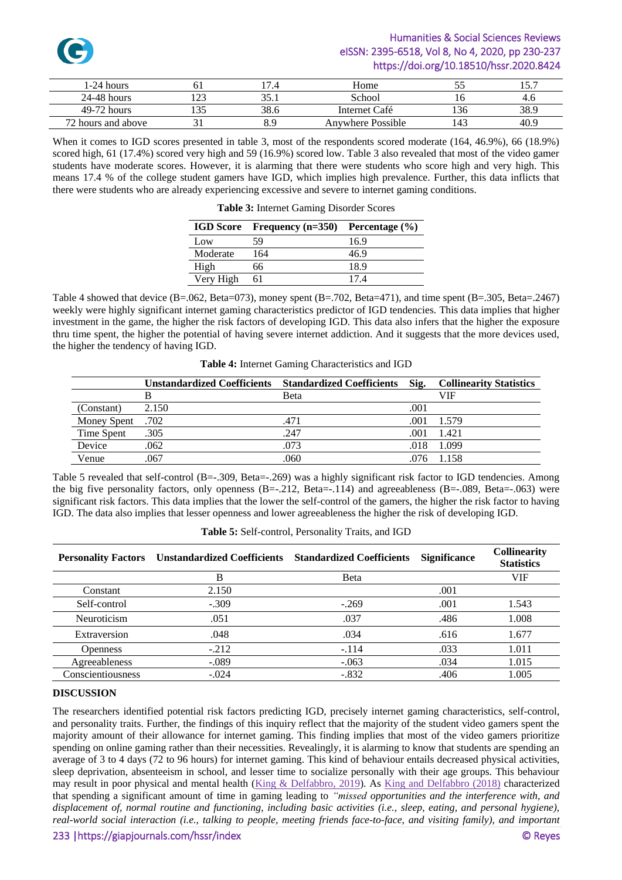

| $1-24$ hours       |      | Home                     |     |      |
|--------------------|------|--------------------------|-----|------|
| $24-48$ hours      |      | School                   |     | 4.G  |
| $49-72$ hours      | 38.6 | Internet Café            | 36  | 38.9 |
| 72 hours and above | 8.9  | <b>Anywhere Possible</b> | 143 | 40.9 |

When it comes to IGD scores presented in table 3, most of the respondents scored moderate (164, 46.9%), 66 (18.9%) scored high, 61 (17.4%) scored very high and 59 (16.9%) scored low. Table 3 also revealed that most of the video gamer students have moderate scores. However, it is alarming that there were students who score high and very high. This means 17.4 % of the college student gamers have IGD, which implies high prevalence. Further, this data inflicts that there were students who are already experiencing excessive and severe to internet gaming conditions.

**Table 3:** Internet Gaming Disorder Scores

| IGD Score Frequency $(n=350)$ Percentage $(\% )$ |      |
|--------------------------------------------------|------|
| 59                                               | 16.9 |
| 164                                              | 46.9 |
| 66                                               | 18.9 |
| 61                                               | 17.4 |
|                                                  |      |

Table 4 showed that device (B=.062, Beta=073), money spent (B=.702, Beta=471), and time spent (B=.305, Beta=.2467) weekly were highly significant internet gaming characteristics predictor of IGD tendencies. This data implies that higher investment in the game, the higher the risk factors of developing IGD. This data also infers that the higher the exposure thru time spent, the higher the potential of having severe internet addiction. And it suggests that the more devices used, the higher the tendency of having IGD.

**Table 4:** Internet Gaming Characteristics and IGD

|                  | Unstandardized Coefficients Standardized Coefficients Sig. Collinearity Statistics |      |      |       |
|------------------|------------------------------------------------------------------------------------|------|------|-------|
|                  |                                                                                    | Beta |      | VIF   |
| (Constant)       | 2.150                                                                              |      | .001 |       |
| Money Spent .702 |                                                                                    | .471 | .001 | 1.579 |
| Time Spent       | .305                                                                               | .247 | .001 | 1.421 |
| Device           | .062                                                                               | .073 |      | 1.099 |
| Venue            | 067                                                                                | .060 |      | 1.158 |

Table 5 revealed that self-control (B=-.309, Beta=-.269) was a highly significant risk factor to IGD tendencies. Among the big five personality factors, only openness (B=-.212, Beta=-.114) and agreeableness (B=-.089, Beta=-.063) were significant risk factors. This data implies that the lower the self-control of the gamers, the higher the risk factor to having IGD. The data also implies that lesser openness and lower agreeableness the higher the risk of developing IGD.

|  | Table 5: Self-control, Personality Traits, and IGD |  |  |  |  |
|--|----------------------------------------------------|--|--|--|--|
|--|----------------------------------------------------|--|--|--|--|

|                   | <b>Personality Factors</b> Unstandardized Coefficients | <b>Standardized Coefficients</b> | <b>Significance</b> | <b>Collinearity</b><br><b>Statistics</b> |
|-------------------|--------------------------------------------------------|----------------------------------|---------------------|------------------------------------------|
|                   | B                                                      | Beta                             |                     | VIF                                      |
| Constant          | 2.150                                                  |                                  | .001                |                                          |
| Self-control      | $-.309$                                                | $-.269$                          | .001                | 1.543                                    |
| Neuroticism       | .051                                                   | .037                             | .486                | 1.008                                    |
| Extraversion      | .048                                                   | .034                             | .616                | 1.677                                    |
| <b>Openness</b>   | $-.212$                                                | $-.114$                          | .033                | 1.011                                    |
| Agreeableness     | $-.089$                                                | $-.063$                          | .034                | 1.015                                    |
| Conscientiousness | $-.024$                                                | $-.832$                          | .406                | 1.005                                    |

### **DISCUSSION**

The researchers identified potential risk factors predicting IGD, precisely internet gaming characteristics, self-control, and personality traits. Further, the findings of this inquiry reflect that the majority of the student video gamers spent the majority amount of their allowance for internet gaming. This finding implies that most of the video gamers prioritize spending on online gaming rather than their necessities. Revealingly, it is alarming to know that students are spending an average of 3 to 4 days (72 to 96 hours) for internet gaming. This kind of behaviour entails decreased physical activities, sleep deprivation, absenteeism in school, and lesser time to socialize personally with their age groups. This behaviour may result in poor physical and mental health [\(King & Delfabbro, 2019\)](#page-6-1). As [King and Delfabbro \(2018\)](#page-6-5) characterized that spending a significant amount of time in gaming leading to *"missed opportunities and the interference with, and displacement of, normal routine and functioning, including basic activities (i.e., sleep, eating, and personal hygiene), real-world social interaction (i.e., talking to people, meeting friends face-to-face, and visiting family), and important*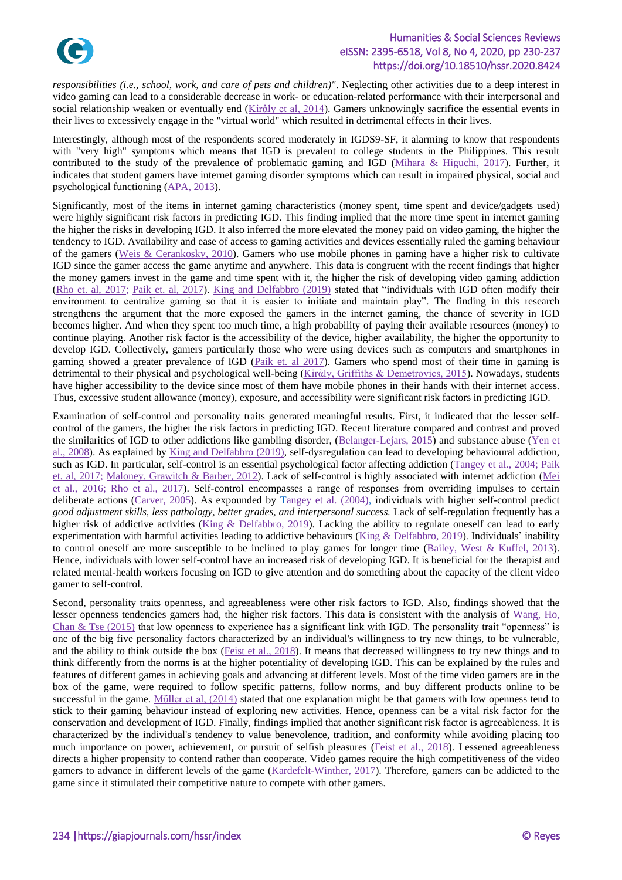

*responsibilities (i.e., school, work, and care of pets and children)"*. Neglecting other activities due to a deep interest in video gaming can lead to a considerable decrease in work- or education-related performance with their interpersonal and social relationship weaken or eventually end [\(Kirἀly et al, 2014\)](#page-6-12). Gamers unknowingly sacrifice the essential events in their lives to excessively engage in the "virtual world" which resulted in detrimental effects in their lives.

Interestingly, although most of the respondents scored moderately in IGDS9-SF, it alarming to know that respondents with "very high" symptoms which means that IGD is prevalent to college students in the Philippines. This result contributed to the study of the prevalence of problematic gaming and IGD (Mihara & [Higuchi, 2017\)](#page-6-13). Further, it indicates that student gamers have internet gaming disorder symptoms which can result in impaired physical, social and psychological functioning [\(APA, 2013\)](#page-5-1).

Significantly, most of the items in internet gaming characteristics (money spent, time spent and device/gadgets used) were highly significant risk factors in predicting IGD. This finding implied that the more time spent in internet gaming the higher the risks in developing IGD. It also inferred the more elevated the money paid on video gaming, the higher the tendency to IGD. Availability and ease of access to gaming activities and devices essentially ruled the gaming behaviour of the gamers [\(Weis & Cerankosky, 2010\)](#page-7-11). Gamers who use mobile phones in gaming have a higher risk to cultivate IGD since the gamer access the game anytime and anywhere. This data is congruent with the recent findings that higher the money gamers invest in the game and time spent with it, the higher the risk of developing video gaming addiction [\(Rho et. al, 2017;](#page-7-7) [Paik et. al, 2017\)](#page-6-14). [King and Delfabbro \(2019\)](#page-6-1) stated that "individuals with IGD often modify their environment to centralize gaming so that it is easier to initiate and maintain play". The finding in this research strengthens the argument that the more exposed the gamers in the internet gaming, the chance of severity in IGD becomes higher. And when they spent too much time, a high probability of paying their available resources (money) to continue playing. Another risk factor is the accessibility of the device, higher availability, the higher the opportunity to develop IGD. Collectively, gamers particularly those who were using devices such as computers and smartphones in gaming showed a greater prevalence of IGD [\(Paik et. al 2017\)](#page-6-14). Gamers who spend most of their time in gaming is detrimental to their physical and psychological well-being [\(Kirἀly, Griffiths & Demetrovics, 2015\)](#page-6-15). Nowadays, students have higher accessibility to the device since most of them have mobile phones in their hands with their internet access. Thus, excessive student allowance (money), exposure, and accessibility were significant risk factors in predicting IGD.

Examination of self-control and personality traits generated meaningful results. First, it indicated that the lesser selfcontrol of the gamers, the higher the risk factors in predicting IGD. Recent literature compared and contrast and proved the similarities of IGD to other addictions like gambling disorder, [\(Belanger-Lejars, 2015\)](#page-5-8) and substance abuse [\(Yen et](#page-7-12)  [al., 2008\)](#page-7-12). As explained by [King and Delfabbro \(2019\),](#page-6-1) self-dysregulation can lead to developing behavioural addiction, such as IGD. In particular, self-control is an essential psychological factor affecting addiction [\(Tangey et al., 2004;](#page-7-10) [Paik](#page-6-14)  [et. al, 2017;](#page-6-14) [Maloney, Grawitch & Barber, 2012\)](#page-6-16). Lack of self-control is highly associated with internet addiction [\(Mei](#page-6-17)  [et al., 2016;](#page-6-17) [Rho et al., 2017\)](#page-7-7). Self-control encompasses a range of responses from overriding impulses to certain deliberate actions [\(Carver, 2005\)](#page-5-9). As expounded by [Tangey et al. \(2004\),](#page-7-10) individuals with higher self-control predict *good adjustment skills, less pathology, better grades, and interpersonal success.* Lack of self-regulation frequently has a higher risk of addictive activities [\(King & Delfabbro, 2019\)](#page-6-1). Lacking the ability to regulate oneself can lead to early experimentation with harmful activities leading to addictive behaviours [\(King & Delfabbro, 2019\)](#page-6-1). Individuals' inability to control oneself are more susceptible to be inclined to play games for longer time [\(Bailey, West & Kuffel, 2013\)](#page-5-3). Hence, individuals with lower self-control have an increased risk of developing IGD. It is beneficial for the therapist and related mental-health workers focusing on IGD to give attention and do something about the capacity of the client video gamer to self-control.

Second, personality traits openness, and agreeableness were other risk factors to IGD. Also, findings showed that the lesser openness tendencies gamers had, the higher risk factors. This data is consistent with the analysis of [Wang, Ho,](#page-7-13)  Chan  $\&$  Tse (2015) that low openness to experience has a significant link with IGD. The personality trait "openness" is one of the big five personality factors characterized by an individual's willingness to try new things, to be vulnerable, and the ability to think outside the box [\(Feist et al., 2018\)](#page-6-18). It means that decreased willingness to try new things and to think differently from the norms is at the higher potentiality of developing IGD. This can be explained by the rules and features of different games in achieving goals and advancing at different levels. Most of the time video gamers are in the box of the game, were required to follow specific patterns, follow norms, and buy different products online to be successful in the game. M<sub>v</sub> iller et al,  $(2014)$  stated that one explanation might be that gamers with low openness tend to stick to their gaming behaviour instead of exploring new activities. Hence, openness can be a vital risk factor for the conservation and development of IGD. Finally, findings implied that another significant risk factor is agreeableness. It is characterized by the individual's tendency to value benevolence, tradition, and conformity while avoiding placing too much importance on power, achievement, or pursuit of selfish pleasures [\(Feist et al., 2018\)](#page-6-18). Lessened agreeableness directs a higher propensity to contend rather than cooperate. Video games require the high competitiveness of the video gamers to advance in different levels of the game [\(Kardefelt-Winther, 2017\)](#page-6-20). Therefore, gamers can be addicted to the game since it stimulated their competitive nature to compete with other gamers.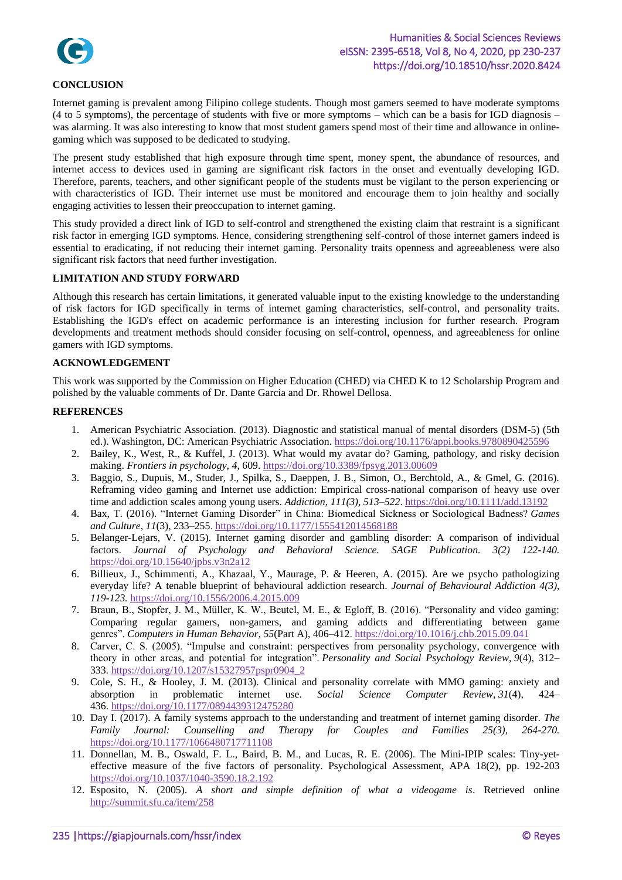

### **CONCLUSION**

Internet gaming is prevalent among Filipino college students. Though most gamers seemed to have moderate symptoms (4 to 5 symptoms), the percentage of students with five or more symptoms – which can be a basis for IGD diagnosis – was alarming. It was also interesting to know that most student gamers spend most of their time and allowance in onlinegaming which was supposed to be dedicated to studying.

The present study established that high exposure through time spent, money spent, the abundance of resources, and internet access to devices used in gaming are significant risk factors in the onset and eventually developing IGD. Therefore, parents, teachers, and other significant people of the students must be vigilant to the person experiencing or with characteristics of IGD. Their internet use must be monitored and encourage them to join healthy and socially engaging activities to lessen their preoccupation to internet gaming.

This study provided a direct link of IGD to self-control and strengthened the existing claim that restraint is a significant risk factor in emerging IGD symptoms. Hence, considering strengthening self-control of those internet gamers indeed is essential to eradicating, if not reducing their internet gaming. Personality traits openness and agreeableness were also significant risk factors that need further investigation.

### **LIMITATION AND STUDY FORWARD**

Although this research has certain limitations, it generated valuable input to the existing knowledge to the understanding of risk factors for IGD specifically in terms of internet gaming characteristics, self-control, and personality traits. Establishing the IGD's effect on academic performance is an interesting inclusion for further research. Program developments and treatment methods should consider focusing on self-control, openness, and agreeableness for online gamers with IGD symptoms.

### **ACKNOWLEDGEMENT**

This work was supported by the Commission on Higher Education (CHED) via CHED K to 12 Scholarship Program and polished by the valuable comments of Dr. Dante Garcia and Dr. Rhowel Dellosa.

### <span id="page-5-1"></span>**REFERENCES**

- 1. American Psychiatric Association. (2013). Diagnostic and statistical manual of mental disorders (DSM-5) (5th ed.). Washington, DC: American Psychiatric Association.<https://doi.org/10.1176/appi.books.9780890425596>
- <span id="page-5-3"></span>2. Bailey, K., West, R., & Kuffel, J. (2013). What would my avatar do? Gaming, pathology, and risky decision making. *Frontiers in psychology*, *4*, 609.<https://doi.org/10.3389/fpsyg.2013.00609>
- <span id="page-5-2"></span>3. Baggio, S., Dupuis, M., Studer, J., Spilka, S., Daeppen, J. B., Simon, O., Berchtold, A., & Gmel, G. (2016). Reframing video gaming and Internet use addiction: Empirical cross-national comparison of heavy use over time and addiction scales among young users. *Addiction, 111(3), 513–522*.<https://doi.org/10.1111/add.13192>
- 4. Bax, T. (2016). "Internet Gaming Disorder" in China: Biomedical Sickness or Sociological Badness? *Games and Culture*, *11*(3), 233–255. <https://doi.org/10.1177/1555412014568188>
- <span id="page-5-8"></span>5. Belanger-Lejars, V. (2015). Internet gaming disorder and gambling disorder: A comparison of individual factors. *Journal of Psychology and Behavioral Science. SAGE Publication. 3(2) 122-140.*  <https://doi.org/10.15640/jpbs.v3n2a12>
- <span id="page-5-6"></span>6. Billieux, J., Schimmenti, A., Khazaal, Y., Maurage, P. & Heeren, A. (2015). Are we psycho pathologizing everyday life? A tenable blueprint of behavioural addiction research. *Journal of Behavioural Addiction 4(3), 119-123.* <https://doi.org/10.1556/2006.4.2015.009>
- <span id="page-5-4"></span>7. Braun, B., Stopfer, J. M., Müller, K. W., Beutel, M. E., & Egloff, B. (2016). "Personality and video gaming: Comparing regular gamers, non-gamers, and gaming addicts and differentiating between game genres". *Computers in Human Behavior, 55*(Part A), 406–412. <https://doi.org/10.1016/j.chb.2015.09.041>
- <span id="page-5-9"></span>8. Carver, C. S. (2005). "Impulse and constraint: perspectives from personality psychology, convergence with theory in other areas, and potential for integration". *Personality and Social Psychology Review*, *9*(4), 312– 333. [https://doi.org/10.1207/s15327957pspr0904\\_2](https://doi.org/10.1207/s15327957pspr0904_2)
- <span id="page-5-5"></span>9. Cole, S. H., & Hooley, J. M. (2013). Clinical and personality correlate with MMO gaming: anxiety and absorption in problematic internet use. *Social Science Computer Review*, *31*(4), 424– 436. <https://doi.org/10.1177/0894439312475280>
- 10. Day I. (2017). A family systems approach to the understanding and treatment of internet gaming disorder. *The Family Journal: Counselling and Therapy for Couples and Families 25(3), 264-270.* <https://doi.org/10.1177/1066480717711108>
- <span id="page-5-7"></span>11. Donnellan, M. B., Oswald, F. L., Baird, B. M., and Lucas, R. E. (2006). The Mini-IPIP scales: Tiny-yeteffective measure of the five factors of personality. Psychological Assessment, APA 18(2), pp. 192-203 <https://doi.org/10.1037/1040-3590.18.2.192>
- <span id="page-5-0"></span>12. Esposito, N. (2005). *A short and simple definition of what a videogame is*. Retrieved online <http://summit.sfu.ca/item/258>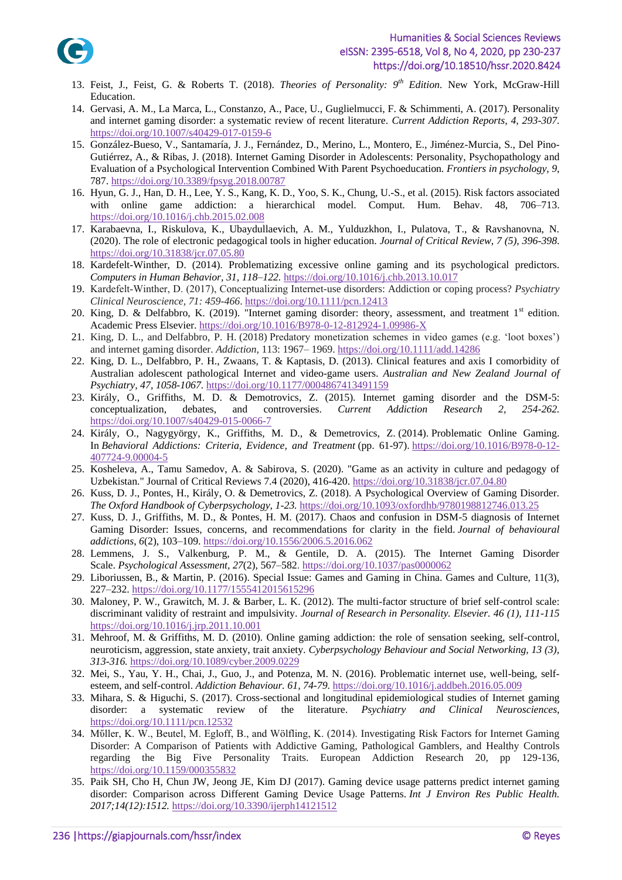

- <span id="page-6-18"></span>13. Feist, J., Feist, G. & Roberts T. (2018). *Theories of Personality: 9th Edition.* New York, McGraw-Hill Education.
- <span id="page-6-9"></span>14. Gervasi, A. M., La Marca, L., Constanzo, A., Pace, U., Guglielmucci, F. & Schimmenti, A. (2017). Personality and internet gaming disorder: a systematic review of recent literature. *Current Addiction Reports, 4, 293-307.*  <https://doi.org/10.1007/s40429-017-0159-6>
- <span id="page-6-6"></span>15. González-Bueso, V., Santamaría, J. J., Fernández, D., Merino, L., Montero, E., Jiménez-Murcia, S., Del Pino-Gutiérrez, A., & Ribas, J. (2018). Internet Gaming Disorder in Adolescents: Personality, Psychopathology and Evaluation of a Psychological Intervention Combined With Parent Psychoeducation. *Frontiers in psychology*, *9*, 787.<https://doi.org/10.3389/fpsyg.2018.00787>
- <span id="page-6-7"></span>16. Hyun, G. J., Han, D. H., Lee, Y. S., Kang, K. D., Yoo, S. K., Chung, U.-S., et al. (2015). Risk factors associated with online game addiction: a hierarchical model. Comput. Hum. Behav. 48, 706–713. <https://doi.org/10.1016/j.chb.2015.02.008>
- <span id="page-6-2"></span>17. Karabaevna, I., Riskulova, K., Ubaydullaevich, A. M., Yulduzkhon, I., Pulatova, T., & Ravshanovna, N. (2020). The role of electronic pedagogical tools in higher education. *Journal of Critical Review, 7 (5), 396-398*. <https://doi.org/10.31838/jcr.07.05.80>
- 18. Kardefelt-Winther, D. (2014). Problematizing excessive online gaming and its psychological predictors. *Computers in Human Behavior, 31, 118–122.* <https://doi.org/10.1016/j.chb.2013.10.017>
- <span id="page-6-20"></span>19. Kardefelt‐Winther, D. (2017), Conceptualizing Internet-use disorders: Addiction or coping process? *Psychiatry Clinical Neuroscience, 71: 459-466*.<https://doi.org/10.1111/pcn.12413>
- <span id="page-6-1"></span>20. King, D. & Delfabbro, K. (2019). "Internet gaming disorder: theory, assessment, and treatment 1<sup>st</sup> edition. Academic Press Elsevier.<https://doi.org/10.1016/B978-0-12-812924-1.09986-X>
- <span id="page-6-5"></span>21. King, D. L., and Delfabbro, P. H. (2018) Predatory monetization schemes in video games (e.g. 'loot boxes') and internet gaming disorder. *Addiction*, 113: 1967– 1969. <https://doi.org/10.1111/add.14286>
- <span id="page-6-10"></span>22. King, D. L., Delfabbro, P. H., Zwaans, T. & Kaptasis, D. (2013). Clinical features and axis I comorbidity of Australian adolescent pathological Internet and video-game users. *Australian and New Zealand Journal of Psychiatry, 47, 1058-1067.* <https://doi.org/10.1177/0004867413491159>
- <span id="page-6-15"></span>23. Király, O., Griffiths, M. D. & Demotrovics, Z. (2015). Internet gaming disorder and the DSM-5: conceptualization, debates, and controversies. *Current Addiction Research 2, 254-262.* <https://doi.org/10.1007/s40429-015-0066-7>
- <span id="page-6-12"></span>24. Király, O., Nagygyörgy, K., Griffiths, M. D., & Demetrovics, Z. (2014). Problematic Online Gaming. In *Behavioral Addictions: Criteria, Evidence, and Treatment* (pp. 61-97). [https://doi.org/10.1016/B978-0-12-](https://doi.org/10.1016/B978-0-12-407724-9.00004-5) [407724-9.00004-5](https://doi.org/10.1016/B978-0-12-407724-9.00004-5)
- <span id="page-6-0"></span>25. Kosheleva, A., Tamu Samedov, A. & Sabirova, S. (2020). "Game as an activity in culture and pedagogy of Uzbekistan." Journal of Critical Reviews 7.4 (2020), 416-420[. https://doi.org/10.31838/jcr.07.04.80](https://doi.org/10.31838/jcr.07.04.80)
- 26. Kuss, D. J., Pontes, H., Király, O. & Demetrovics, Z. (2018). A Psychological Overview of Gaming Disorder. *The Oxford Handbook of Cyberpsychology, 1-23.* <https://doi.org/10.1093/oxfordhb/9780198812746.013.25>
- <span id="page-6-4"></span>27. Kuss, D. J., Griffiths, M. D., & Pontes, H. M. (2017). Chaos and confusion in DSM-5 diagnosis of Internet Gaming Disorder: Issues, concerns, and recommendations for clarity in the field. *Journal of behavioural addictions*, *6*(2), 103–109.<https://doi.org/10.1556/2006.5.2016.062>
- <span id="page-6-11"></span>28. Lemmens, J. S., Valkenburg, P. M., & Gentile, D. A. (2015). The Internet Gaming Disorder Scale. *Psychological Assessment, 27*(2), 567–582. <https://doi.org/10.1037/pas0000062>
- 29. Liboriussen, B., & Martin, P. (2016). Special Issue: Games and Gaming in China. Games and Culture, 11(3), 227–232.<https://doi.org/10.1177/1555412015615296>
- <span id="page-6-16"></span>30. Maloney, P. W., Grawitch, M. J. & Barber, L. K. (2012). The multi-factor structure of brief self-control scale: discriminant validity of restraint and impulsivity. *Journal of Research in Personality. Elsevier. 46 (1), 111-115* <https://doi.org/10.1016/j.jrp.2011.10.001>
- <span id="page-6-8"></span>31. Mehroof, M. & Griffiths, M. D. (2010). Online gaming addiction: the role of sensation seeking, self-control, neuroticism, aggression, state anxiety, trait anxiety. *Cyberpsychology Behaviour and Social Networking, 13 (3), 313-316.* <https://doi.org/10.1089/cyber.2009.0229>
- <span id="page-6-17"></span>32. Mei, S., Yau, Y. H., Chai, J., Guo, J., and Potenza, M. N. (2016). Problematic internet use, well-being, selfesteem, and self-control. *Addiction Behaviour. 61, 74-79.* <https://doi.org/10.1016/j.addbeh.2016.05.009>
- <span id="page-6-13"></span>33. Mihara, S. & Higuchi, S. (2017). Cross-sectional and longitudinal epidemiological studies of Internet gaming disorder: a systematic review of the literature. *Psychiatry and Clinical Neurosciences*, <https://doi.org/10.1111/pcn.12532>
- <span id="page-6-19"></span>34. Mὔller, K. W., Beutel, M. Egloff, B., and Wölfling, K. (2014). Investigating Risk Factors for Internet Gaming Disorder: A Comparison of Patients with Addictive Gaming, Pathological Gamblers, and Healthy Controls regarding the Big Five Personality Traits. European Addiction Research 20, pp 129-136, <https://doi.org/10.1159/000355832>
- <span id="page-6-14"></span><span id="page-6-3"></span>35. Paik SH, Cho H, Chun JW, Jeong JE, Kim DJ (2017). Gaming device usage patterns predict internet gaming disorder: Comparison across Different Gaming Device Usage Patterns. *Int J Environ Res Public Health. 2017;14(12):1512.* <https://doi.org/10.3390/ijerph14121512>